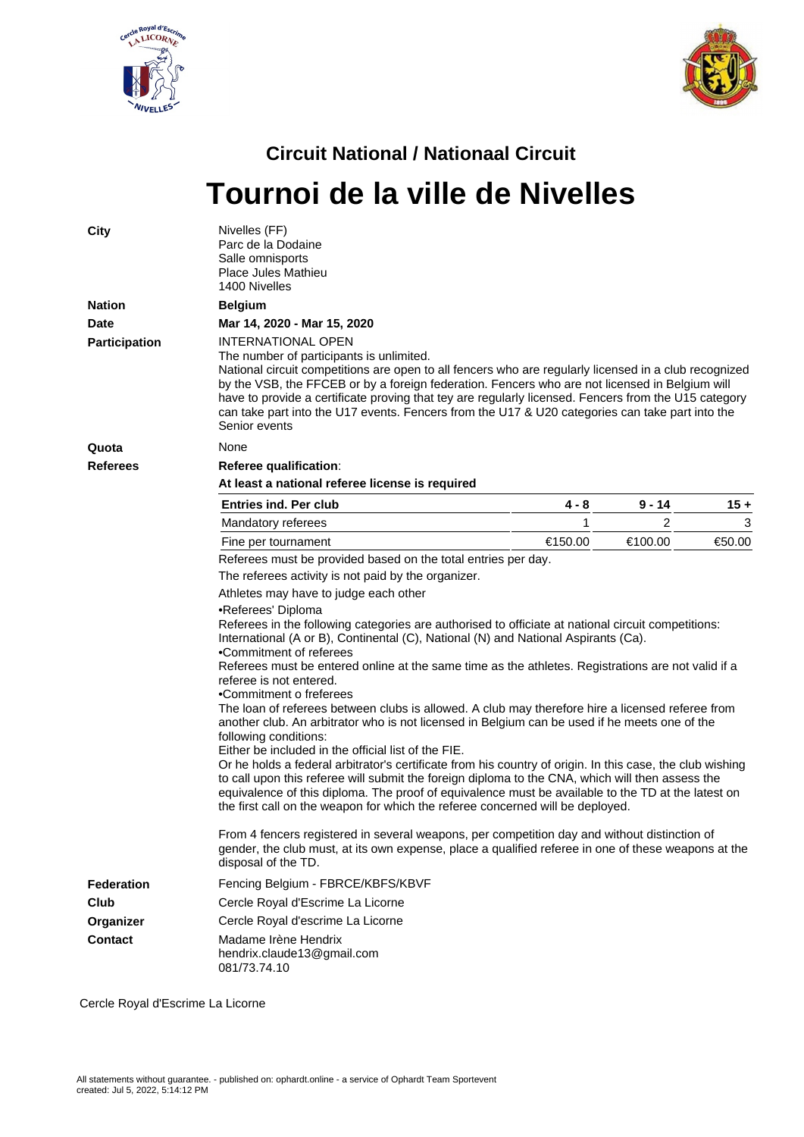



## **Circuit National / Nationaal Circuit Tournoi de la ville de Nivelles**

| <b>City</b>          | Nivelles (FF)<br>Parc de la Dodaine<br>Salle omnisports<br>Place Jules Mathieu<br>1400 Nivelles                                                                                                                                                                                                                                                                                                                                                                                                                                                                                                                                                                                                                                                                                                                                                                                                                                                                                                                                                                                                     |         |                |        |  |  |  |  |  |  |
|----------------------|-----------------------------------------------------------------------------------------------------------------------------------------------------------------------------------------------------------------------------------------------------------------------------------------------------------------------------------------------------------------------------------------------------------------------------------------------------------------------------------------------------------------------------------------------------------------------------------------------------------------------------------------------------------------------------------------------------------------------------------------------------------------------------------------------------------------------------------------------------------------------------------------------------------------------------------------------------------------------------------------------------------------------------------------------------------------------------------------------------|---------|----------------|--------|--|--|--|--|--|--|
| <b>Nation</b>        | <b>Belgium</b>                                                                                                                                                                                                                                                                                                                                                                                                                                                                                                                                                                                                                                                                                                                                                                                                                                                                                                                                                                                                                                                                                      |         |                |        |  |  |  |  |  |  |
| <b>Date</b>          | Mar 14, 2020 - Mar 15, 2020                                                                                                                                                                                                                                                                                                                                                                                                                                                                                                                                                                                                                                                                                                                                                                                                                                                                                                                                                                                                                                                                         |         |                |        |  |  |  |  |  |  |
| <b>Participation</b> | INTERNATIONAL OPEN<br>The number of participants is unlimited.<br>National circuit competitions are open to all fencers who are regularly licensed in a club recognized<br>by the VSB, the FFCEB or by a foreign federation. Fencers who are not licensed in Belgium will<br>have to provide a certificate proving that tey are regularly licensed. Fencers from the U15 category<br>can take part into the U17 events. Fencers from the U17 & U20 categories can take part into the<br>Senior events                                                                                                                                                                                                                                                                                                                                                                                                                                                                                                                                                                                               |         |                |        |  |  |  |  |  |  |
| Quota                | None                                                                                                                                                                                                                                                                                                                                                                                                                                                                                                                                                                                                                                                                                                                                                                                                                                                                                                                                                                                                                                                                                                |         |                |        |  |  |  |  |  |  |
| <b>Referees</b>      | Referee qualification:                                                                                                                                                                                                                                                                                                                                                                                                                                                                                                                                                                                                                                                                                                                                                                                                                                                                                                                                                                                                                                                                              |         |                |        |  |  |  |  |  |  |
|                      | At least a national referee license is required                                                                                                                                                                                                                                                                                                                                                                                                                                                                                                                                                                                                                                                                                                                                                                                                                                                                                                                                                                                                                                                     |         |                |        |  |  |  |  |  |  |
|                      | <b>Entries ind. Per club</b>                                                                                                                                                                                                                                                                                                                                                                                                                                                                                                                                                                                                                                                                                                                                                                                                                                                                                                                                                                                                                                                                        | 4 - 8   | 9 - 14         | $15 +$ |  |  |  |  |  |  |
|                      | Mandatory referees                                                                                                                                                                                                                                                                                                                                                                                                                                                                                                                                                                                                                                                                                                                                                                                                                                                                                                                                                                                                                                                                                  | 1       | $\overline{c}$ | 3      |  |  |  |  |  |  |
|                      | Fine per tournament                                                                                                                                                                                                                                                                                                                                                                                                                                                                                                                                                                                                                                                                                                                                                                                                                                                                                                                                                                                                                                                                                 | €150.00 | €100.00        | €50.00 |  |  |  |  |  |  |
|                      | Referees must be provided based on the total entries per day.                                                                                                                                                                                                                                                                                                                                                                                                                                                                                                                                                                                                                                                                                                                                                                                                                                                                                                                                                                                                                                       |         |                |        |  |  |  |  |  |  |
|                      | The referees activity is not paid by the organizer.                                                                                                                                                                                                                                                                                                                                                                                                                                                                                                                                                                                                                                                                                                                                                                                                                                                                                                                                                                                                                                                 |         |                |        |  |  |  |  |  |  |
|                      | Athletes may have to judge each other                                                                                                                                                                                                                                                                                                                                                                                                                                                                                                                                                                                                                                                                                                                                                                                                                                                                                                                                                                                                                                                               |         |                |        |  |  |  |  |  |  |
|                      | •Referees' Diploma<br>Referees in the following categories are authorised to officiate at national circuit competitions:<br>International (A or B), Continental (C), National (N) and National Aspirants (Ca).<br>•Commitment of referees<br>Referees must be entered online at the same time as the athletes. Registrations are not valid if a<br>referee is not entered.<br>•Commitment o freferees<br>The loan of referees between clubs is allowed. A club may therefore hire a licensed referee from<br>another club. An arbitrator who is not licensed in Belgium can be used if he meets one of the<br>following conditions:<br>Either be included in the official list of the FIE.<br>Or he holds a federal arbitrator's certificate from his country of origin. In this case, the club wishing<br>to call upon this referee will submit the foreign diploma to the CNA, which will then assess the<br>equivalence of this diploma. The proof of equivalence must be available to the TD at the latest on<br>the first call on the weapon for which the referee concerned will be deployed. |         |                |        |  |  |  |  |  |  |
|                      | From 4 fencers registered in several weapons, per competition day and without distinction of<br>gender, the club must, at its own expense, place a qualified referee in one of these weapons at the<br>disposal of the TD.                                                                                                                                                                                                                                                                                                                                                                                                                                                                                                                                                                                                                                                                                                                                                                                                                                                                          |         |                |        |  |  |  |  |  |  |
| <b>Federation</b>    | Fencing Belgium - FBRCE/KBFS/KBVF                                                                                                                                                                                                                                                                                                                                                                                                                                                                                                                                                                                                                                                                                                                                                                                                                                                                                                                                                                                                                                                                   |         |                |        |  |  |  |  |  |  |
| Club                 | Cercle Royal d'Escrime La Licorne                                                                                                                                                                                                                                                                                                                                                                                                                                                                                                                                                                                                                                                                                                                                                                                                                                                                                                                                                                                                                                                                   |         |                |        |  |  |  |  |  |  |
| Organizer            | Cercle Royal d'escrime La Licorne                                                                                                                                                                                                                                                                                                                                                                                                                                                                                                                                                                                                                                                                                                                                                                                                                                                                                                                                                                                                                                                                   |         |                |        |  |  |  |  |  |  |
| <b>Contact</b>       | Madame Irène Hendrix<br>hendrix.claude13@gmail.com<br>081/73.74.10                                                                                                                                                                                                                                                                                                                                                                                                                                                                                                                                                                                                                                                                                                                                                                                                                                                                                                                                                                                                                                  |         |                |        |  |  |  |  |  |  |

Cercle Royal d'Escrime La Licorne